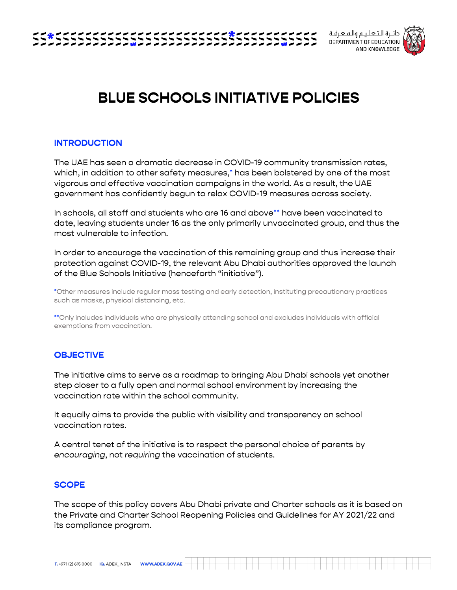

دائـرة الـتـعـلـيـم والـمـعـرفـة DEPARTMENT OF EDUCATION AND KNOWLEDGE



# **BLUE SCHOOLS INITIATIVE POLICIES**

# **INTRODUCTION**

The UAE has seen a dramatic decrease in COVID-19 community transmission rates, which, in addition to other safety measures,\* has been bolstered by one of the most vigorous and effective vaccination campaigns in the world. As a result, the UAE government has confidently begun to relax COVID-19 measures across society.

In schools, all staff and students who are 16 and above\*\* have been vaccinated to date, leaving students under 16 as the only primarily unvaccinated group, and thus the most vulnerable to infection.

In order to encourage the vaccination of this remaining group and thus increase their protection against COVID-19, the relevant Abu Dhabi authorities approved the launch of the Blue Schools Initiative (henceforth "initiative").

\*Other measures include regular mass testing and early detection, instituting precautionary practices such as masks, physical distancing, etc.

\*\*Only includes individuals who are physically attending school and excludes individuals with official exemptions from vaccination.

# **OBJECTIVE**

The initiative aims to serve as a roadmap to bringing Abu Dhabi schools yet another step closer to a fully open and normal school environment by increasing the vaccination rate within the school community.

It equally aims to provide the public with visibility and transparency on school vaccination rates.

A central tenet of the initiative is to respect the personal choice of parents by *encouraging*, not *requiring* the vaccination of students.

#### **SCOPE**

The scope of this policy covers Abu Dhabi private and Charter schools as it is based on the Private and Charter School Reopening Policies and Guidelines for AY 2021/22 and its compliance program.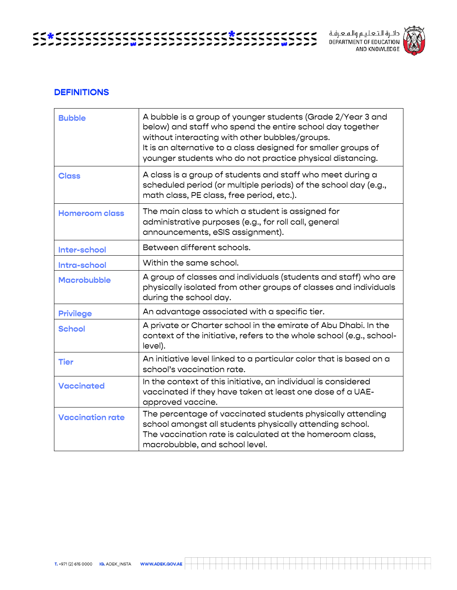دائــرة الـتــعـلـيــم والــمــعــرفــة<br>DEPARTMENT OF EDUCATION<br>AND KNOWLEDGE



## **DEFINITIONS**

| <b>Bubble</b>           | A bubble is a group of younger students (Grade 2/Year 3 and<br>below) and staff who spend the entire school day together<br>without interacting with other bubbles/groups.<br>It is an alternative to a class designed for smaller groups of<br>younger students who do not practice physical distancing. |  |  |
|-------------------------|-----------------------------------------------------------------------------------------------------------------------------------------------------------------------------------------------------------------------------------------------------------------------------------------------------------|--|--|
| <b>Class</b>            | A class is a group of students and staff who meet during a<br>scheduled period (or multiple periods) of the school day (e.g.,<br>math class, PE class, free period, etc.).                                                                                                                                |  |  |
| <b>Homeroom class</b>   | The main class to which a student is assigned for<br>administrative purposes (e.g., for roll call, general<br>announcements, eSIS assignment).                                                                                                                                                            |  |  |
| Inter-school            | Between different schools.                                                                                                                                                                                                                                                                                |  |  |
| Intra-school            | Within the same school.                                                                                                                                                                                                                                                                                   |  |  |
| <b>Macrobubble</b>      | A group of classes and individuals (students and staff) who are<br>physically isolated from other groups of classes and individuals<br>during the school day.                                                                                                                                             |  |  |
| <b>Privilege</b>        | An advantage associated with a specific tier.                                                                                                                                                                                                                                                             |  |  |
| <b>School</b>           | A private or Charter school in the emirate of Abu Dhabi. In the<br>context of the initiative, refers to the whole school (e.g., school-<br>level).                                                                                                                                                        |  |  |
| <b>Tier</b>             | An initiative level linked to a particular color that is based on a<br>school's vaccination rate.                                                                                                                                                                                                         |  |  |
| <b>Vaccinated</b>       | In the context of this initiative, an individual is considered<br>vaccinated if they have taken at least one dose of a UAE-<br>approved vaccine.                                                                                                                                                          |  |  |
| <b>Vaccination rate</b> | The percentage of vaccinated students physically attending<br>school amongst all students physically attending school.<br>The vaccination rate is calculated at the homeroom class,<br>macrobubble, and school level.                                                                                     |  |  |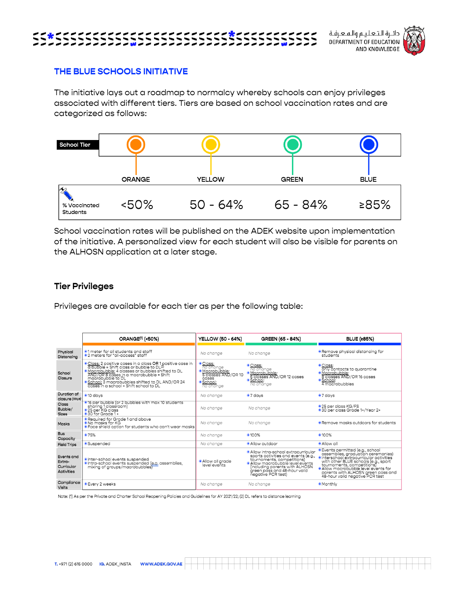دائـرة الـتـعـلـيـم والـمـعـرفـة DEPARTMENT OF EDUCATION AND KNOWLEDGE



# **THE BLUE SCHOOLS INITIATIVE**

The initiative lays out a roadmap to normalcy whereby schools can enjoy privileges associated with different tiers. Tiers are based on school vaccination rates and are categorized as follows:



School vaccination rates will be published on the ADEK website upon implementation of the initiative. A personalized view for each student will also be visible for parents on the ALHOSN application at a later stage.

### **Tier Privileges**

Privileges are available for each tier as per the following table:

|                                                         | ORANGE <sup>(1)</sup> (<50%)                                                                                                                                                                                                                                                                                             | <b>YELLOW (50 - 64%)</b>                                                                       | GREEN (65 - 84%)                                                                                                                                                                                                                    | <b>BLUE (≥85%)</b>                                                                                                                                                                                                                                                                                     |
|---------------------------------------------------------|--------------------------------------------------------------------------------------------------------------------------------------------------------------------------------------------------------------------------------------------------------------------------------------------------------------------------|------------------------------------------------------------------------------------------------|-------------------------------------------------------------------------------------------------------------------------------------------------------------------------------------------------------------------------------------|--------------------------------------------------------------------------------------------------------------------------------------------------------------------------------------------------------------------------------------------------------------------------------------------------------|
| Physical<br>Distancina                                  | •1 meter for all students and staff<br>● 2 meters for "all-access" staff                                                                                                                                                                                                                                                 | No change                                                                                      | No change                                                                                                                                                                                                                           | <b>• Remove physical distancing for</b><br>students                                                                                                                                                                                                                                                    |
| School<br>Closure                                       | © Class: 2 positive cases in a class OR 1 positive case in<br>a bubble = Shift class or bubble to DL(2)<br>· Macrobubble: 4 classes or bubbles shifted to DL<br>AND/OR 8 cases in a macrobubble = Shift<br>macrobubble to DL<br>School: 3 macrobubbles shifted to DL AND/OR 24<br>cases in a school = Shift school to DL | · Class:<br>no chanae<br>·Macrobubble:<br>5 classes AND/OR 10<br>cases<br>School:<br>no change | <i>Class:</i><br>no change<br>· Macrobubble:<br>6 classes AND/OR 12 cases<br>· School:<br>no change                                                                                                                                 | ·Class:<br>only contacts to augrantine<br>· Macrobubble:<br>8 classes AND/OR 16 cases<br>· School:<br>4 macrobubbles                                                                                                                                                                                   |
| Duration of<br>closure (days)                           | $\bullet$ 10 days                                                                                                                                                                                                                                                                                                        | No chanae                                                                                      | $\bullet$ 7 days                                                                                                                                                                                                                    | $\bullet$ 7 days                                                                                                                                                                                                                                                                                       |
| <b>Class</b><br>Bubble/<br><b>Sizes</b>                 | lacktriangleright 10 students (or 2 bubbles with max 10 students<br>sharing 1 classroom)<br>· 25 per KG class<br>$\bullet$ 30 for Grade 1 +                                                                                                                                                                              | No change                                                                                      | No change                                                                                                                                                                                                                           | •25 per class KG/FS<br>·30 per class Grade 1+/Year 2+                                                                                                                                                                                                                                                  |
| <b>Masks</b>                                            | Required for Grade 1 and above<br>• No masks for KG<br>● Face shield option for students who can't wear masks                                                                                                                                                                                                            | No change                                                                                      | No change                                                                                                                                                                                                                           | • Remove masks outdoors for students                                                                                                                                                                                                                                                                   |
| <b>Bus</b><br>Capacity                                  | ●75%                                                                                                                                                                                                                                                                                                                     | No change                                                                                      | ●100%                                                                                                                                                                                                                               | ●100%                                                                                                                                                                                                                                                                                                  |
| <b>Field Trips</b>                                      | · Suspended                                                                                                                                                                                                                                                                                                              | No change                                                                                      | · Allow outdoor                                                                                                                                                                                                                     | · Allow all                                                                                                                                                                                                                                                                                            |
| Events and<br>Extra-<br>Curricular<br><b>Activities</b> | <b>O</b> Inter-school events suspended<br>Intra-school events suspended (e.a. assemblies,<br>mixing of groups/macrobubblest                                                                                                                                                                                              | · Allow all arade<br>level events                                                              | Allow intra-school extracurricular<br>sports activities and events (e.g.,<br>tournaments, competitions)<br>· Allow macrobubble level events<br>(including parents with ALHOSN<br>green pass and 48-hour valid<br>negative PCR test) | C Events permitted (e.g., school assemblies, graduation ceremonies)<br>· Interschool extracurricular activities<br>with other BLUE schools (e.g., sport<br>tournaments, competitions)<br>· Allow macrobubble level events for<br>parents with ALHOSN green pass and<br>48-hour valid negative PCR test |
| Compliance<br>Visits                                    | <b>Every 2 weeks</b>                                                                                                                                                                                                                                                                                                     | No chanae                                                                                      | No change                                                                                                                                                                                                                           | <b>Monthly</b>                                                                                                                                                                                                                                                                                         |

Note: (1) As per the Private and Charter School Reopening Policies and Guidelines for AY 2021/22; (2) DL refers to distance learning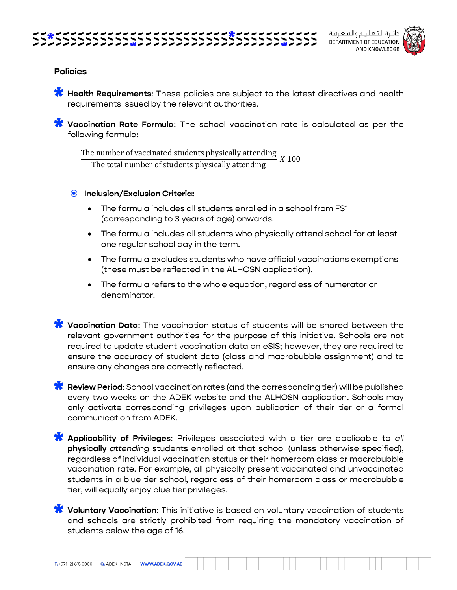



# **Policies**

**Health Requirements:** These policies are subject to the latest directives and health requirements issued by the relevant authorities.

**Vaccination Rate Formula**: The school vaccination rate is calculated as per the following formula:

The number of vaccinated students physically attending The total number of students physically attending  $X$  100

# **Inclusion/Exclusion Criteria:**

- The formula includes all students enrolled in a school from FS1 (corresponding to 3 years of age) onwards.
- The formula includes all students who physically attend school for at least one regular school day in the term.
- The formula excludes students who have official vaccinations exemptions (these must be reflected in the ALHOSN application).
- The formula refers to the whole equation, regardless of numerator or denominator.

**Vaccination Data**: The vaccination status of students will be shared between the relevant government authorities for the purpose of this initiative. Schools are not required to update student vaccination data on eSIS; however, they are required to ensure the accuracy of student data (class and macrobubble assignment) and to ensure any changes are correctly reflected.

**Review Period**: School vaccination rates (and the corresponding tier) will be published every two weeks on the ADEK website and the ALHOSN application. Schools may only activate corresponding privileges upon publication of their tier or a formal communication from ADEK.

**Applicability of Privileges**: Privileges associated with a tier are applicable to *all*  **physically** *attending* students enrolled at that school (unless otherwise specified), regardless of individual vaccination status or their homeroom class or macrobubble vaccination rate. For example, all physically present vaccinated and unvaccinated students in a blue tier school, regardless of their homeroom class or macrobubble tier, will equally enjoy blue tier privileges.

**Voluntary Vaccination**: This initiative is based on voluntary vaccination of students and schools are strictly prohibited from requiring the mandatory vaccination of students below the age of 16.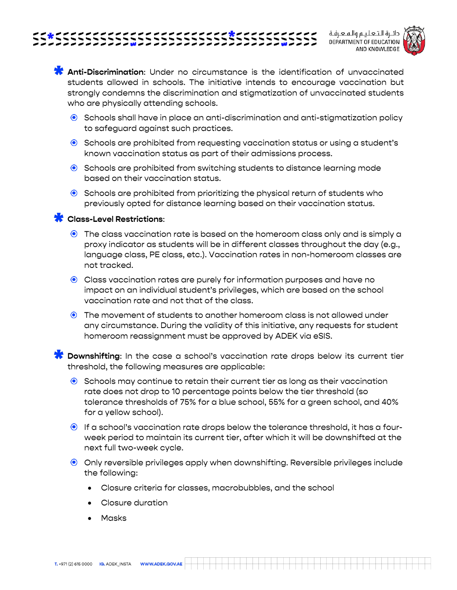

دائـرة الـتـعـلـيـم والـمـعـرفـة **DEPARTMENT OF EDUCATION** AND KNOWLEDGE



**Anti-Discrimination**: Under no circumstance is the identification of unvaccinated students allowed in schools. The initiative intends to encourage vaccination but strongly condemns the discrimination and stigmatization of unvaccinated students who are physically attending schools.

- $\bullet$  Schools shall have in place an anti-discrimination and anti-stigmatization policy to safeguard against such practices.
- **•** Schools are prohibited from requesting vaccination status or using a student's known vaccination status as part of their admissions process.
- **•** Schools are prohibited from switching students to distance learning mode based on their vaccination status.
- $\bullet$  Schools are prohibited from prioritizing the physical return of students who previously opted for distance learning based on their vaccination status.

# **Class-Level Restrictions**:

- The class vaccination rate is based on the homeroom class only and is simply a proxy indicator as students will be in different classes throughout the day (e.g., language class, PE class, etc.). Vaccination rates in non-homeroom classes are not tracked.
- Class vaccination rates are purely for information purposes and have no impact on an individual student's privileges, which are based on the school vaccination rate and not that of the class.
- The movement of students to another homeroom class is not allowed under any circumstance. During the validity of this initiative, any requests for student homeroom reassignment must be approved by ADEK via eSIS.

**Downshifting**: In the case a school's vaccination rate drops below its current tier threshold, the following measures are applicable:

- **Schools may continue to retain their current tier as long as their vaccination** rate does not drop to 10 percentage points below the tier threshold (so tolerance thresholds of 75% for a blue school, 55% for a green school, and 40% for a yellow school).
- If a school's vaccination rate drops below the tolerance threshold, it has a fourweek period to maintain its current tier, after which it will be downshifted at the next full two-week cycle.
- Only reversible privileges apply when downshifting. Reversible privileges include the following:
	- Closure criteria for classes, macrobubbles, and the school
	- Closure duration
	- Masks